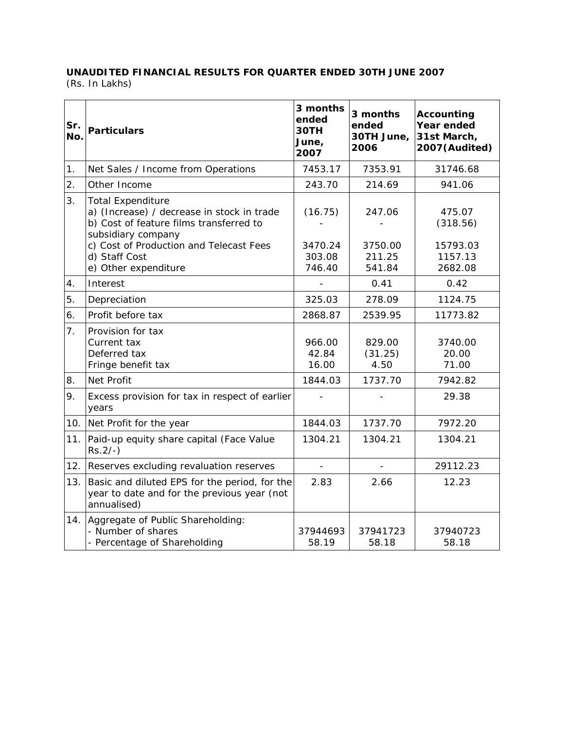## **UNAUDITED FINANCIAL RESULTS FOR QUARTER ENDED 30TH JUNE 2007**

(Rs. In Lakhs)

| Sr.<br>No.       | <b>Particulars</b>                                                                                                                                                                                                          | 3 months<br>ended<br>30TH<br>June,<br>2007 | 3 months<br>ended<br>30TH June,<br>2006 | <b>Accounting</b><br>Year ended<br>31st March,<br>2007(Audited) |
|------------------|-----------------------------------------------------------------------------------------------------------------------------------------------------------------------------------------------------------------------------|--------------------------------------------|-----------------------------------------|-----------------------------------------------------------------|
| 1.               | Net Sales / Income from Operations                                                                                                                                                                                          | 7453.17                                    | 7353.91                                 | 31746.68                                                        |
| $\overline{2}$ . | Other Income                                                                                                                                                                                                                | 243.70                                     | 214.69                                  | 941.06                                                          |
| 3.               | <b>Total Expenditure</b><br>a) (Increase) / decrease in stock in trade<br>b) Cost of feature films transferred to<br>subsidiary company<br>c) Cost of Production and Telecast Fees<br>d) Staff Cost<br>e) Other expenditure | (16.75)<br>3470.24<br>303.08<br>746.40     | 247.06<br>3750.00<br>211.25<br>541.84   | 475.07<br>(318.56)<br>15793.03<br>1157.13<br>2682.08            |
| 4.               | Interest                                                                                                                                                                                                                    |                                            | 0.41                                    | 0.42                                                            |
| 5.               | Depreciation                                                                                                                                                                                                                | 325.03                                     | 278.09                                  | 1124.75                                                         |
| 6.               | Profit before tax                                                                                                                                                                                                           | 2868.87                                    | 2539.95                                 | 11773.82                                                        |
| 7.               | Provision for tax<br>Current tax<br>Deferred tax<br>Fringe benefit tax                                                                                                                                                      | 966.00<br>42.84<br>16.00                   | 829.00<br>(31.25)<br>4.50               | 3740.00<br>20.00<br>71.00                                       |
| 8.               | Net Profit                                                                                                                                                                                                                  | 1844.03                                    | 1737.70                                 | 7942.82                                                         |
| 9.               | Excess provision for tax in respect of earlier<br>years                                                                                                                                                                     |                                            |                                         | 29.38                                                           |
| 10.              | Net Profit for the year                                                                                                                                                                                                     | 1844.03                                    | 1737.70                                 | 7972.20                                                         |
| 11.              | Paid-up equity share capital (Face Value<br>$Rs.2/-$ )                                                                                                                                                                      | 1304.21                                    | 1304.21                                 | 1304.21                                                         |
| 12.              | Reserves excluding revaluation reserves                                                                                                                                                                                     | $\overline{a}$                             | $\overline{a}$                          | 29112.23                                                        |
| 13.              | Basic and diluted EPS for the period, for the<br>year to date and for the previous year (not<br>annualised)                                                                                                                 | 2.83                                       | 2.66                                    | 12.23                                                           |
|                  | 14. Aggregate of Public Shareholding:<br>- Number of shares<br>- Percentage of Shareholding                                                                                                                                 | 37944693<br>58.19                          | 37941723<br>58.18                       | 37940723<br>58.18                                               |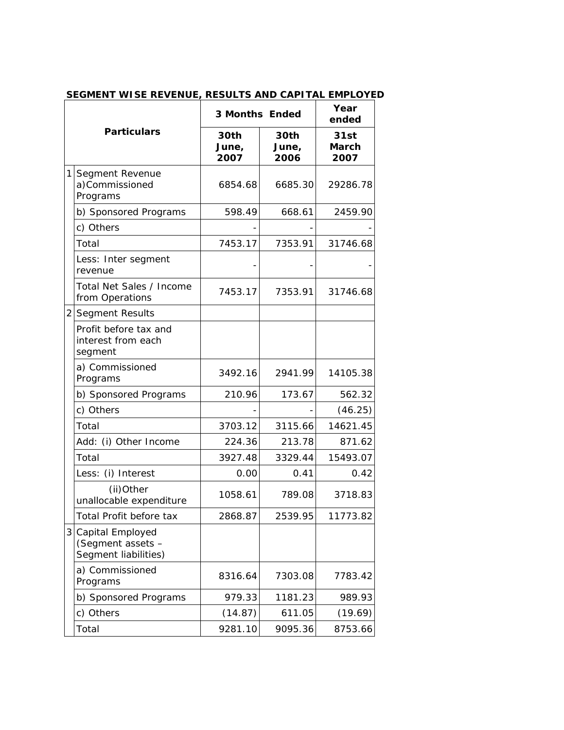| <b>Particulars</b> |                                                               | <b>3 Months Ended</b> |                       | Year<br>ended                |
|--------------------|---------------------------------------------------------------|-----------------------|-----------------------|------------------------------|
|                    |                                                               | 30th<br>June,<br>2007 | 30th<br>June,<br>2006 | 31st<br><b>March</b><br>2007 |
| 11                 | Segment Revenue<br>a)Commissioned<br>Programs                 | 6854.68               | 6685.30               | 29286.78                     |
|                    | b) Sponsored Programs                                         | 598.49                | 668.61                | 2459.90                      |
|                    | c) Others                                                     |                       |                       |                              |
|                    | Total                                                         | 7453.17               | 7353.91               | 31746.68                     |
|                    | Less: Inter segment<br>revenue                                |                       |                       |                              |
|                    | Total Net Sales / Income<br>from Operations                   | 7453.17               | 7353.91               | 31746.68                     |
|                    | 2 Segment Results                                             |                       |                       |                              |
|                    | Profit before tax and<br>interest from each<br>segment        |                       |                       |                              |
|                    | a) Commissioned<br>Programs                                   | 3492.16               | 2941.99               | 14105.38                     |
|                    | b) Sponsored Programs                                         | 210.96                | 173.67                | 562.32                       |
|                    | c) Others                                                     |                       |                       | (46.25)                      |
|                    | Total                                                         | 3703.12               | 3115.66               | 14621.45                     |
|                    | Add: (i) Other Income                                         | 224.36                | 213.78                | 871.62                       |
|                    | Total                                                         | 3927.48               | 3329.44               | 15493.07                     |
|                    | Less: (i) Interest                                            | 0.00                  | 0.41                  | 0.42                         |
|                    | (ii)Other<br>unallocable expenditure                          | 1058.61               | 789.08                | 3718.83                      |
|                    | Total Profit before tax                                       | 2868.87               | 2539.95               | 11773.82                     |
| 3                  | Capital Employed<br>(Segment assets -<br>Segment liabilities) |                       |                       |                              |
|                    | a) Commissioned<br>Programs                                   | 8316.64               | 7303.08               | 7783.42                      |
|                    | b) Sponsored Programs                                         | 979.33                | 1181.23               | 989.93                       |
|                    | c) Others                                                     | (14.87)               | 611.05                | (19.69)                      |
|                    | Total                                                         | 9281.10               | 9095.36               | 8753.66                      |

## **SEGMENT WISE REVENUE, RESULTS AND CAPITAL EMPLOYED**